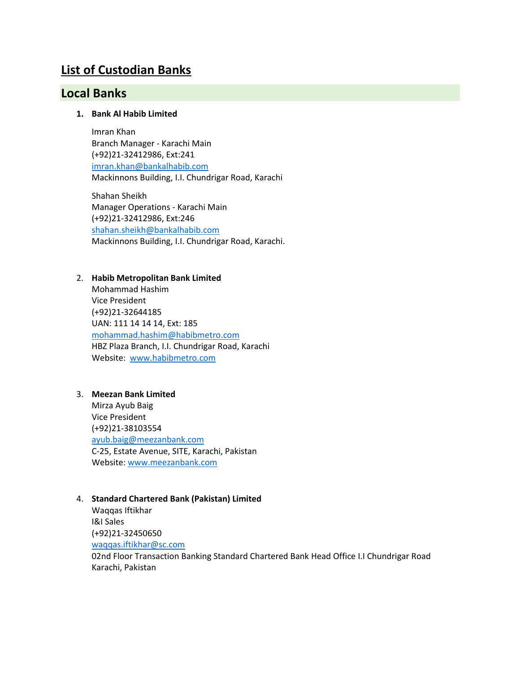## **List of Custodian Banks**

### **Local Banks**

#### **1. Bank Al Habib Limited**

Imran Khan Branch Manager - Karachi Main (+92)21-32412986, Ext:241 [imran.khan@bankalhabib.com](mailto:imran.khan@bankalhabib.com) Mackinnons Building, I.I. Chundrigar Road, Karachi

Shahan Sheikh Manager Operations - Karachi Main (+92)21-32412986, Ext:246 [shahan.sheikh@bankalhabib.com](mailto:shahan.sheikh@bankalhabib.com) Mackinnons Building, I.I. Chundrigar Road, Karachi.

#### 2. **Habib Metropolitan Bank Limited**

Mohammad Hashim Vice President (+92)21-32644185 UAN: 111 14 14 14, Ext: 185 [mohammad.hashim@habibmetro.com](mailto:mohammad.hashim@habibmetro.com) HBZ Plaza Branch, I.I. Chundrigar Road, Karachi Website: [www.habibmetro.com](http://www.habibmetro.com/)

#### 3. **Meezan Bank Limited**

Mirza Ayub Baig Vice President (+92)21-38103554 [ayub.baig@meezanbank.com](mailto:ayub.baig@meezanbank.com) C-25, Estate Avenue, SITE, Karachi, Pakistan Website[: www.meezanbank.com](http://www.meezanbank.com/)

#### 4. **Standard Chartered Bank (Pakistan) Limited**

Waqqas Iftikhar I&I Sales (+92)21-32450650 [waqqas.iftikhar@sc.com](mailto:waqqas.iftikhar@sc.com) 02nd Floor Transaction Banking Standard Chartered Bank Head Office I.I Chundrigar Road Karachi, Pakistan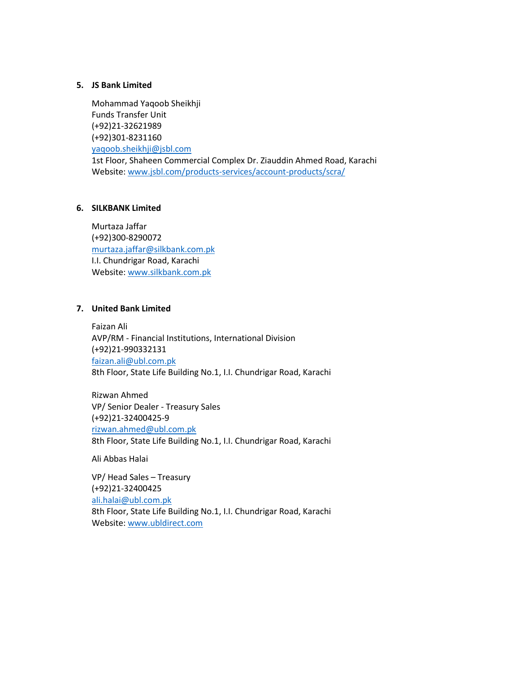#### **5. JS Bank Limited**

Mohammad Yaqoob Sheikhji Funds Transfer Unit (+92)21-32621989 (+92)301-8231160 [yaqoob.sheikhji@jsbl.com](mailto:yaqoob.sheikhji@jsbl.com) 1st Floor, Shaheen Commercial Complex Dr. Ziauddin Ahmed Road, Karachi Website[: www.jsbl.com/products-services/account-products/scra/](http://www.jsbl.com/products-services/account-products/scra/)

#### **6. SILKBANK Limited**

Murtaza Jaffar (+92)300-8290072 [murtaza.jaffar@silkbank.com.pk](mailto:murtaza.jaffar@silkbank.com.pk) I.I. Chundrigar Road, Karachi Website[: www.silkbank.com.pk](http://www.silkbank.com.pk/)

#### **7. United Bank Limited**

Faizan Ali AVP/RM - Financial Institutions, International Division (+92)21-990332131 [faizan.ali@ubl.com.pk](mailto:faizan.ali@ubl.com.pk) 8th Floor, State Life Building No.1, I.I. Chundrigar Road, Karachi

Rizwan Ahmed VP/ Senior Dealer - Treasury Sales (+92)21-32400425-9 [rizwan.ahmed@ubl.com.pk](mailto:rizwan.ahmed@ubl.com.pk) 8th Floor, State Life Building No.1, I.I. Chundrigar Road, Karachi

Ali Abbas Halai

VP/ Head Sales – Treasury (+92)21-32400425 [ali.halai@ubl.com.pk](mailto:ali.halai@ubl.com.pk) 8th Floor, State Life Building No.1, I.I. Chundrigar Road, Karachi Website[: www.ubldirect.com](http://www.ubldirect.com/)